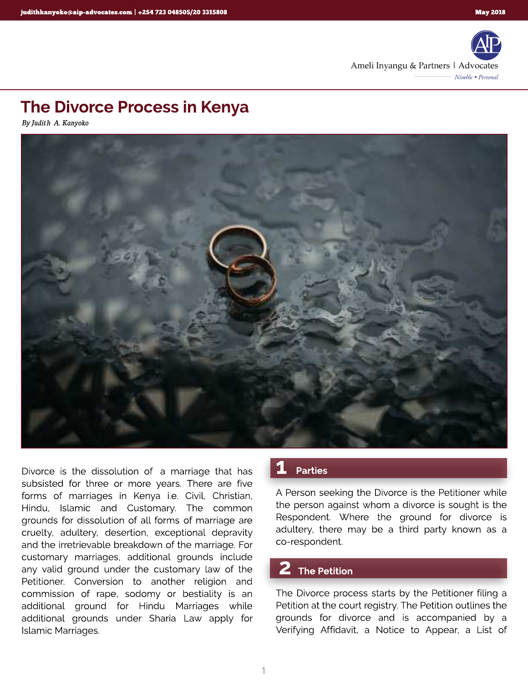

# The Divorce Process in Kenya

**By Judith A. Kanyoko**



Divorce is the dissolution of a marriage that has subsisted for three or more years. There are five forms of marriages in Kenya i.e. Civil, Christian, Hindu, Islamic and Customary. The common grounds for dissolution of all forms of marriage are cruelty, adultery, desertion, exceptional depravity and the irretrievable breakdown of the marriage. For customary marriages, additional grounds include any valid ground under the customary law of the Petitioner. Conversion to another religion and commission of rape, sodomy or bestiality is an additional ground for Hindu Marriages while additional grounds under Sharia Law apply for Islamic Marriages.

#### **Parties**

A Person seeking the Divorce is the Petitioner while the person against whom a divorce is sought is the Respondent. Where the ground for divorce is adultery, there may be a third party known as a co-respondent.

#### **The Petition**

The Divorce process starts by the Petitioner filing a Petition at the court registry. The Petition outlines the grounds for divorce and is accompanied by a Verifying Affidavit, a Notice to Appear, a List of